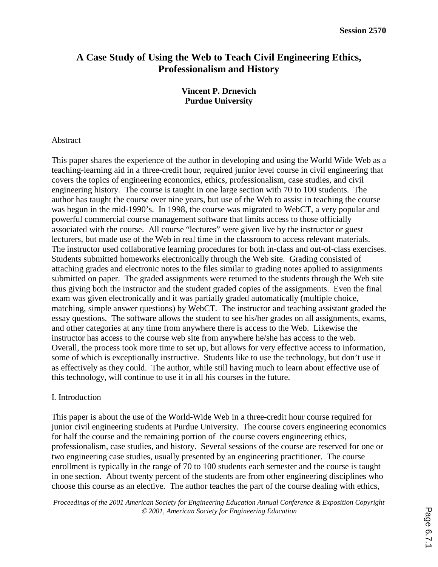# **A Case Study of Using the Web to Teach Civil Engineering Ethics, Professionalism and History**

# **Vincent P. Drnevich Purdue University**

### Abstract

This paper shares the experience of the author in developing and using the World Wide Web as a teaching-learning aid in a three-credit hour, required junior level course in civil engineering that covers the topics of engineering economics, ethics, professionalism, case studies, and civil engineering history. The course is taught in one large section with 70 to 100 students. The author has taught the course over nine years, but use of the Web to assist in teaching the course was begun in the mid-1990's. In 1998, the course was migrated to WebCT, a very popular and powerful commercial course management software that limits access to those officially associated with the course. All course "lectures" were given live by the instructor or guest lecturers, but made use of the Web in real time in the classroom to access relevant materials. The instructor used collaborative learning procedures for both in-class and out-of-class exercises. Students submitted homeworks electronically through the Web site. Grading consisted of attaching grades and electronic notes to the files similar to grading notes applied to assignments submitted on paper. The graded assignments were returned to the students through the Web site thus giving both the instructor and the student graded copies of the assignments. Even the final exam was given electronically and it was partially graded automatically (multiple choice, matching, simple answer questions) by WebCT. The instructor and teaching assistant graded the essay questions. The software allows the student to see his/her grades on all assignments, exams, and other categories at any time from anywhere there is access to the Web. Likewise the instructor has access to the course web site from anywhere he/she has access to the web. Overall, the process took more time to set up, but allows for very effective access to information, some of which is exceptionally instructive. Students like to use the technology, but don't use it as effectively as they could. The author, while still having much to learn about effective use of this technology, will continue to use it in all his courses in the future.

# I. Introduction

This paper is about the use of the World-Wide Web in a three-credit hour course required for junior civil engineering students at Purdue University. The course covers engineering economics for half the course and the remaining portion of the course covers engineering ethics, professionalism, case studies, and history. Several sessions of the course are reserved for one or two engineering case studies, usually presented by an engineering practitioner. The course enrollment is typically in the range of 70 to 100 students each semester and the course is taught in one section. About twenty percent of the students are from other engineering disciplines who choose this course as an elective. The author teaches the part of the course dealing with ethics,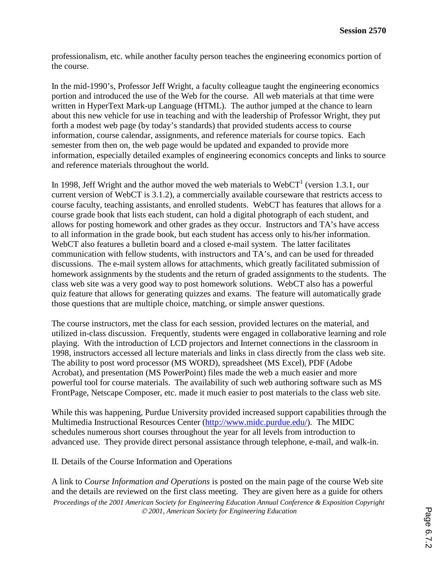professionalism, etc. while another faculty person teaches the engineering economics portion of the course.

In the mid-1990's, Professor Jeff Wright, a faculty colleague taught the engineering economics portion and introduced the use of the Web for the course. All web materials at that time were written in HyperText Mark-up Language (HTML). The author jumped at the chance to learn about this new vehicle for use in teaching and with the leadership of Professor Wright, they put forth a modest web page (by today's standards) that provided students access to course information, course calendar, assignments, and reference materials for course topics. Each semester from then on, the web page would be updated and expanded to provide more information, especially detailed examples of engineering economics concepts and links to source and reference materials throughout the world.

In 1998, Jeff Wright and the author moved the web materials to  $WebCT<sup>1</sup>$  (version 1.3.1, our current version of WebCT is 3.1.2), a commercially available courseware that restricts access to course faculty, teaching assistants, and enrolled students. WebCT has features that allows for a course grade book that lists each student, can hold a digital photograph of each student, and allows for posting homework and other grades as they occur. Instructors and TA's have access to all information in the grade book, but each student has access only to his/her information. WebCT also features a bulletin board and a closed e-mail system. The latter facilitates communication with fellow students, with instructors and TA's, and can be used for threaded discussions. The e-mail system allows for attachments, which greatly facilitated submission of homework assignments by the students and the return of graded assignments to the students. The class web site was a very good way to post homework solutions. WebCT also has a powerful quiz feature that allows for generating quizzes and exams. The feature will automatically grade those questions that are multiple choice, matching, or simple answer questions.

The course instructors, met the class for each session, provided lectures on the material, and utilized in-class discussion. Frequently, students were engaged in collaborative learning and role playing. With the introduction of LCD projectors and Internet connections in the classroom in 1998, instructors accessed all lecture materials and links in class directly from the class web site. The ability to post word processor (MS WORD), spreadsheet (MS Excel), PDF (Adobe Acrobat), and presentation (MS PowerPoint) files made the web a much easier and more powerful tool for course materials. The availability of such web authoring software such as MS FrontPage, Netscape Composer, etc. made it much easier to post materials to the class web site.

While this was happening, Purdue University provided increased support capabilities through the Multimedia Instructional Resources Center (http://www.midc.purdue.edu/). The MIDC schedules numerous short courses throughout the year for all levels from introduction to advanced use. They provide direct personal assistance through telephone, e-mail, and walk-in.

# II. Details of the Course Information and Operations

*Proceedings of the 2001 American Society for Engineering Education Annual Conference & Exposition Copyright 2001, American Society for Engineering Education*  A link to *Course Information and Operations* is posted on the main page of the course Web site and the details are reviewed on the first class meeting. They are given here as a guide for others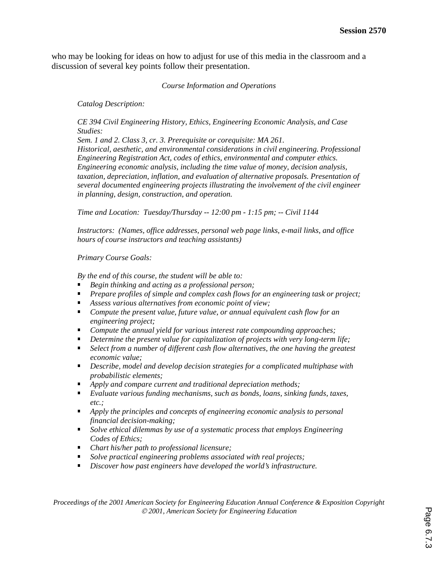who may be looking for ideas on how to adjust for use of this media in the classroom and a discussion of several key points follow their presentation.

#### *Course Information and Operations*

*Catalog Description:* 

*CE 394 Civil Engineering History, Ethics, Engineering Economic Analysis, and Case Studies:* 

*Sem. 1 and 2. Class 3, cr. 3. Prerequisite or corequisite: MA 261. Historical, aesthetic, and environmental considerations in civil engineering. Professional Engineering Registration Act, codes of ethics, environmental and computer ethics. Engineering economic analysis, including the time value of money, decision analysis, taxation, depreciation, inflation, and evaluation of alternative proposals. Presentation of several documented engineering projects illustrating the involvement of the civil engineer in planning, design, construction, and operation.* 

*Time and Location: Tuesday/Thursday -- 12:00 pm - 1:15 pm; -- Civil 1144* 

*Instructors: (Names, office addresses, personal web page links, e-mail links, and office hours of course instructors and teaching assistants)* 

*Primary Course Goals:* 

*By the end of this course, the student will be able to:* 

- *Begin thinking and acting as a professional person;*
- *Prepare profiles of simple and complex cash flows for an engineering task or project;*
- *Assess various alternatives from economic point of view;*
- *Compute the present value, future value, or annual equivalent cash flow for an engineering project;*
- *Compute the annual yield for various interest rate compounding approaches;*
- **•** Determine the present value for capitalization of projects with very long-term life;
- **Select from a number of different cash flow alternatives, the one having the greatest** *economic value;*
- *Describe, model and develop decision strategies for a complicated multiphase with probabilistic elements;*
- *Apply and compare current and traditional depreciation methods;*
- *Evaluate various funding mechanisms, such as bonds, loans, sinking funds, taxes, etc.;*
- *Apply the principles and concepts of engineering economic analysis to personal financial decision-making;*
- *Solve ethical dilemmas by use of a systematic process that employs Engineering Codes of Ethics;*
- *Chart his/her path to professional licensure;*
- *Solve practical engineering problems associated with real projects;*
- *Discover how past engineers have developed the world's infrastructure.*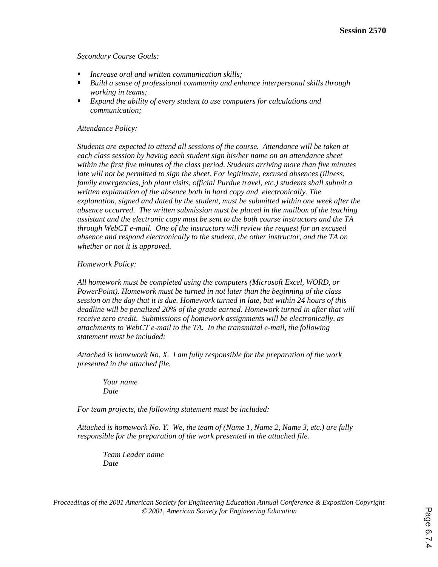*Secondary Course Goals:* 

- *Increase oral and written communication skills;*
- *Build a sense of professional community and enhance interpersonal skills through working in teams;*
- *Expand the ability of every student to use computers for calculations and communication;*

#### *Attendance Policy:*

*Students are expected to attend all sessions of the course. Attendance will be taken at each class session by having each student sign his/her name on an attendance sheet within the first five minutes of the class period. Students arriving more than five minutes late will not be permitted to sign the sheet. For legitimate, excused absences (illness, family emergencies, job plant visits, official Purdue travel, etc.) students shall submit a written explanation of the absence both in hard copy and electronically. The explanation, signed and dated by the student, must be submitted within one week after the absence occurred. The written submission must be placed in the mailbox of the teaching assistant and the electronic copy must be sent to the both course instructors and the TA through WebCT e-mail. One of the instructors will review the request for an excused absence and respond electronically to the student, the other instructor, and the TA on whether or not it is approved.* 

#### *Homework Policy:*

*All homework must be completed using the computers (Microsoft Excel, WORD, or PowerPoint). Homework must be turned in not later than the beginning of the class session on the day that it is due. Homework turned in late, but within 24 hours of this*  deadline will be penalized 20% of the grade earned. Homework turned in after that will *receive zero credit. Submissions of homework assignments will be electronically, as attachments to WebCT e-mail to the TA. In the transmittal e-mail, the following statement must be included:* 

*Attached is homework No. X. I am fully responsible for the preparation of the work presented in the attached file.* 

 *Your name Date* 

*For team projects, the following statement must be included:* 

*Attached is homework No. Y. We, the team of (Name 1, Name 2, Name 3, etc.) are fully responsible for the preparation of the work presented in the attached file.* 

 *Team Leader name Date*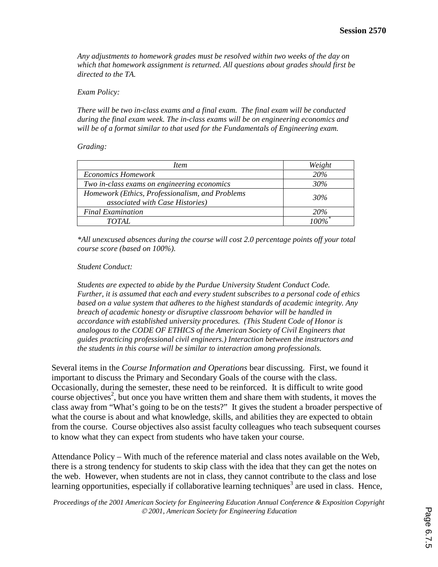*Any adjustments to homework grades must be resolved within two weeks of the day on which that homework assignment is returned. All questions about grades should first be directed to the TA.* 

#### *Exam Policy:*

*There will be two in-class exams and a final exam. The final exam will be conducted during the final exam week. The in-class exams will be on engineering economics and will be of a format similar to that used for the Fundamentals of Engineering exam.* 

#### *Grading:*

| <i>Item</i>                                     | Weight     |
|-------------------------------------------------|------------|
| <b>Economics Homework</b>                       | <b>20%</b> |
| Two in-class exams on engineering economics     | 30%        |
| Homework (Ethics, Professionalism, and Problems | 30%        |
| <i>associated with Case Histories</i> )         |            |
| <b>Final Examination</b>                        | <b>20%</b> |
| TOTAL.                                          | $100\%$    |

*\*All unexcused absences during the course will cost 2.0 percentage points off your total course score (based on 100%).* 

### *Student Conduct:*

*Students are expected to abide by the Purdue University Student Conduct Code. Further, it is assumed that each and every student subscribes to a personal code of ethics based on a value system that adheres to the highest standards of academic integrity. Any breach of academic honesty or disruptive classroom behavior will be handled in accordance with established university procedures. (This Student Code of Honor is analogous to the CODE OF ETHICS of the American Society of Civil Engineers that guides practicing professional civil engineers.) Interaction between the instructors and the students in this course will be similar to interaction among professionals.* 

Several items in the *Course Information and Operations* bear discussing. First, we found it important to discuss the Primary and Secondary Goals of the course with the class. Occasionally, during the semester, these need to be reinforced. It is difficult to write good course objectives<sup>2</sup>, but once you have written them and share them with students, it moves the class away from "What's going to be on the tests?" It gives the student a broader perspective of what the course is about and what knowledge, skills, and abilities they are expected to obtain from the course. Course objectives also assist faculty colleagues who teach subsequent courses to know what they can expect from students who have taken your course.

Attendance Policy – With much of the reference material and class notes available on the Web, there is a strong tendency for students to skip class with the idea that they can get the notes on the web. However, when students are not in class, they cannot contribute to the class and lose learning opportunities, especially if collaborative learning techniques<sup>3</sup> are used in class. Hence,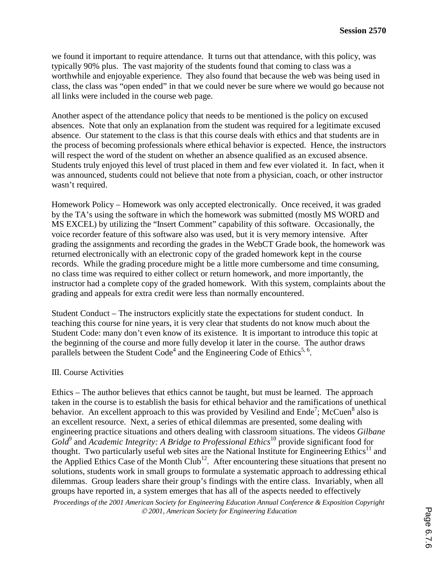we found it important to require attendance. It turns out that attendance, with this policy, was typically 90% plus. The vast majority of the students found that coming to class was a worthwhile and enjoyable experience. They also found that because the web was being used in class, the class was "open ended" in that we could never be sure where we would go because not all links were included in the course web page.

Another aspect of the attendance policy that needs to be mentioned is the policy on excused absences. Note that only an explanation from the student was required for a legitimate excused absence. Our statement to the class is that this course deals with ethics and that students are in the process of becoming professionals where ethical behavior is expected. Hence, the instructors will respect the word of the student on whether an absence qualified as an excused absence. Students truly enjoyed this level of trust placed in them and few ever violated it. In fact, when it was announced, students could not believe that note from a physician, coach, or other instructor wasn't required.

Homework Policy – Homework was only accepted electronically. Once received, it was graded by the TA's using the software in which the homework was submitted (mostly MS WORD and MS EXCEL) by utilizing the "Insert Comment" capability of this software. Occasionally, the voice recorder feature of this software also was used, but it is very memory intensive. After grading the assignments and recording the grades in the WebCT Grade book, the homework was returned electronically with an electronic copy of the graded homework kept in the course records. While the grading procedure might be a little more cumbersome and time consuming, no class time was required to either collect or return homework, and more importantly, the instructor had a complete copy of the graded homework. With this system, complaints about the grading and appeals for extra credit were less than normally encountered.

Student Conduct – The instructors explicitly state the expectations for student conduct. In teaching this course for nine years, it is very clear that students do not know much about the Student Code: many don't even know of its existence. It is important to introduce this topic at the beginning of the course and more fully develop it later in the course. The author draws parallels between the Student Code<sup>4</sup> and the Engineering Code of Ethics<sup>5, 6</sup>.

# III. Course Activities

Ethics – The author believes that ethics cannot be taught, but must be learned. The approach taken in the course is to establish the basis for ethical behavior and the ramifications of unethical behavior. An excellent approach to this was provided by Vesilind and  $\text{End}e^7$ ; McCuen<sup>8</sup> also is an excellent resource. Next, a series of ethical dilemmas are presented, some dealing with engineering practice situations and others dealing with classroom situations. The videos *Gilbane*  Gold<sup>9</sup> and *Academic Integrity: A Bridge to Professional Ethics*<sup>10</sup> provide significant food for thought. Two particularly useful web sites are the National Institute for Engineering Ethics<sup>11</sup> and the Applied Ethics Case of the Month Club<sup>12</sup>. After encountering these situations that present no solutions, students work in small groups to formulate a systematic approach to addressing ethical dilemmas. Group leaders share their group's findings with the entire class. Invariably, when all groups have reported in, a system emerges that has all of the aspects needed to effectively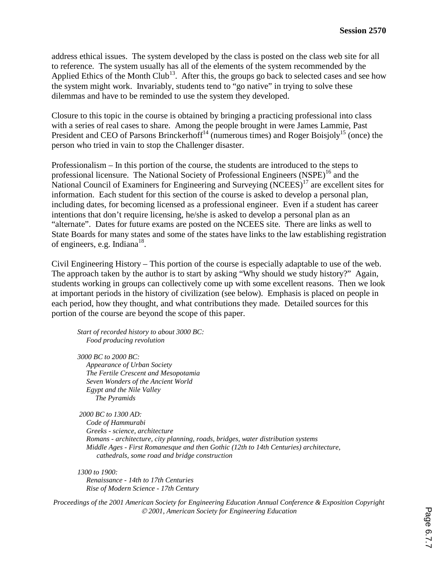address ethical issues. The system developed by the class is posted on the class web site for all to reference. The system usually has all of the elements of the system recommended by the Applied Ethics of the Month Club<sup>13</sup>. After this, the groups go back to selected cases and see how the system might work. Invariably, students tend to "go native" in trying to solve these dilemmas and have to be reminded to use the system they developed.

Closure to this topic in the course is obtained by bringing a practicing professional into class with a series of real cases to share. Among the people brought in were James Lammie, Past President and CEO of Parsons Brinckerhoff<sup>14</sup> (numerous times) and Roger Boisjoly<sup>15</sup> (once) the person who tried in vain to stop the Challenger disaster.

Professionalism – In this portion of the course, the students are introduced to the steps to professional licensure. The National Society of Professional Engineers  $(NSPE)^{16}$  and the National Council of Examiners for Engineering and Surveying (NCEES)<sup>17</sup> are excellent sites for information. Each student for this section of the course is asked to develop a personal plan, including dates, for becoming licensed as a professional engineer. Even if a student has career intentions that don't require licensing, he/she is asked to develop a personal plan as an "alternate". Dates for future exams are posted on the NCEES site. There are links as well to State Boards for many states and some of the states have links to the law establishing registration of engineers, e.g. Indiana<sup>18</sup>.

Civil Engineering History – This portion of the course is especially adaptable to use of the web. The approach taken by the author is to start by asking "Why should we study history?" Again, students working in groups can collectively come up with some excellent reasons. Then we look at important periods in the history of civilization (see below). Emphasis is placed on people in each period, how they thought, and what contributions they made. Detailed sources for this portion of the course are beyond the scope of this paper.

*Start of recorded history to about 3000 BC: Food producing revolution* 

*3000 BC to 2000 BC: Appearance of Urban Society The Fertile Crescent and Mesopotamia Seven Wonders of the Ancient World Egypt and the Nile Valley The Pyramids* 

 *2000 BC to 1300 AD: Code of Hammurabi Greeks - science, architecture Romans - architecture, city planning, roads, bridges, water distribution systems Middle Ages - First Romanesque and then Gothic (12th to 14th Centuries) architecture, cathedrals, some road and bridge construction* 

*1300 to 1900: Renaissance - 14th to 17th Centuries Rise of Modern Science - 17th Century*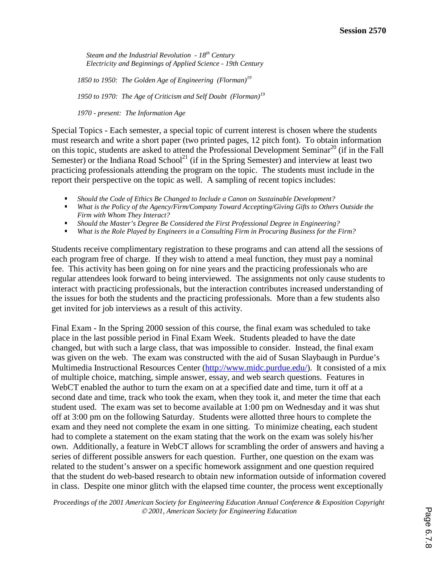*Steam and the Industrial Revolution - 18th Century Electricity and Beginnings of Applied Science - 19th Century* 

*1850 to 1950: The Golden Age of Engineering (Florman)19* 

*1950 to 1970: The Age of Criticism and Self Doubt (Florman)<sup>19</sup>*

*1970 - present: The Information Age* 

Special Topics - Each semester, a special topic of current interest is chosen where the students must research and write a short paper (two printed pages, 12 pitch font). To obtain information on this topic, students are asked to attend the Professional Development Seminar<sup>20</sup> (if in the Fall Semester) or the Indiana Road School<sup>21</sup> (if in the Spring Semester) and interview at least two practicing professionals attending the program on the topic. The students must include in the report their perspective on the topic as well. A sampling of recent topics includes:

- Should the Code of Ethics Be Changed to Include a Canon on Sustainable Development?<br>■ What is the Policy of the Agency/Firm/Company Toward Accepting/Giving Gifts to Other
- *What is the Policy of the Agency/Firm/Company Toward Accepting/Giving Gifts to Others Outside the Firm with Whom They Interact?*
- *Should the Master's Degree Be Considered the First Professional Degree in Engineering?*
- *What is the Role Played by Engineers in a Consulting Firm in Procuring Business for the Firm?*

Students receive complimentary registration to these programs and can attend all the sessions of each program free of charge. If they wish to attend a meal function, they must pay a nominal fee. This activity has been going on for nine years and the practicing professionals who are regular attendees look forward to being interviewed. The assignments not only cause students to interact with practicing professionals, but the interaction contributes increased understanding of the issues for both the students and the practicing professionals. More than a few students also get invited for job interviews as a result of this activity.

Final Exam - In the Spring 2000 session of this course, the final exam was scheduled to take place in the last possible period in Final Exam Week. Students pleaded to have the date changed, but with such a large class, that was impossible to consider. Instead, the final exam was given on the web. The exam was constructed with the aid of Susan Slaybaugh in Purdue's Multimedia Instructional Resources Center (http://www.midc.purdue.edu/). It consisted of a mix of multiple choice, matching, simple answer, essay, and web search questions. Features in WebCT enabled the author to turn the exam on at a specified date and time, turn it off at a second date and time, track who took the exam, when they took it, and meter the time that each student used. The exam was set to become available at 1:00 pm on Wednesday and it was shut off at 3:00 pm on the following Saturday. Students were allotted three hours to complete the exam and they need not complete the exam in one sitting. To minimize cheating, each student had to complete a statement on the exam stating that the work on the exam was solely his/her own. Additionally, a feature in WebCT allows for scrambling the order of answers and having a series of different possible answers for each question. Further, one question on the exam was related to the student's answer on a specific homework assignment and one question required that the student do web-based research to obtain new information outside of information covered in class. Despite one minor glitch with the elapsed time counter, the process went exceptionally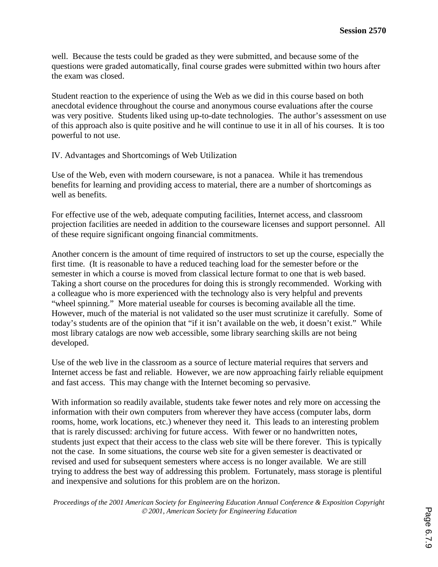well. Because the tests could be graded as they were submitted, and because some of the questions were graded automatically, final course grades were submitted within two hours after the exam was closed.

Student reaction to the experience of using the Web as we did in this course based on both anecdotal evidence throughout the course and anonymous course evaluations after the course was very positive. Students liked using up-to-date technologies. The author's assessment on use of this approach also is quite positive and he will continue to use it in all of his courses. It is too powerful to not use.

IV. Advantages and Shortcomings of Web Utilization

Use of the Web, even with modern courseware, is not a panacea. While it has tremendous benefits for learning and providing access to material, there are a number of shortcomings as well as benefits.

For effective use of the web, adequate computing facilities, Internet access, and classroom projection facilities are needed in addition to the courseware licenses and support personnel. All of these require significant ongoing financial commitments.

Another concern is the amount of time required of instructors to set up the course, especially the first time. (It is reasonable to have a reduced teaching load for the semester before or the semester in which a course is moved from classical lecture format to one that is web based. Taking a short course on the procedures for doing this is strongly recommended. Working with a colleague who is more experienced with the technology also is very helpful and prevents "wheel spinning." More material useable for courses is becoming available all the time. However, much of the material is not validated so the user must scrutinize it carefully. Some of today's students are of the opinion that "if it isn't available on the web, it doesn't exist." While most library catalogs are now web accessible, some library searching skills are not being developed.

Use of the web live in the classroom as a source of lecture material requires that servers and Internet access be fast and reliable. However, we are now approaching fairly reliable equipment and fast access. This may change with the Internet becoming so pervasive.

With information so readily available, students take fewer notes and rely more on accessing the information with their own computers from wherever they have access (computer labs, dorm rooms, home, work locations, etc.) whenever they need it. This leads to an interesting problem that is rarely discussed: archiving for future access. With fewer or no handwritten notes, students just expect that their access to the class web site will be there forever. This is typically not the case. In some situations, the course web site for a given semester is deactivated or revised and used for subsequent semesters where access is no longer available. We are still trying to address the best way of addressing this problem. Fortunately, mass storage is plentiful and inexpensive and solutions for this problem are on the horizon.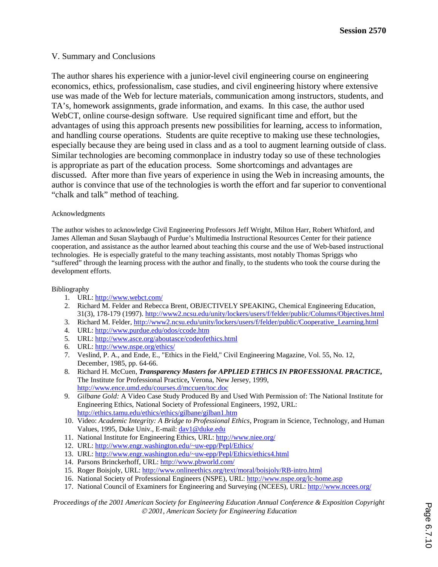### V. Summary and Conclusions

The author shares his experience with a junior-level civil engineering course on engineering economics, ethics, professionalism, case studies, and civil engineering history where extensive use was made of the Web for lecture materials, communication among instructors, students, and TA's, homework assignments, grade information, and exams. In this case, the author used WebCT, online course-design software. Use required significant time and effort, but the advantages of using this approach presents new possibilities for learning, access to information, and handling course operations. Students are quite receptive to making use these technologies, especially because they are being used in class and as a tool to augment learning outside of class. Similar technologies are becoming commonplace in industry today so use of these technologies is appropriate as part of the education process. Some shortcomings and advantages are discussed. After more than five years of experience in using the Web in increasing amounts, the author is convince that use of the technologies is worth the effort and far superior to conventional "chalk and talk" method of teaching.

#### Acknowledgments

The author wishes to acknowledge Civil Engineering Professors Jeff Wright, Milton Harr, Robert Whitford, and James Alleman and Susan Slaybaugh of Purdue's Multimedia Instructional Resources Center for their patience cooperation, and assistance as the author learned about teaching this course and the use of Web-based instructional technologies. He is especially grateful to the many teaching assistants, most notably Thomas Spriggs who "suffered" through the learning process with the author and finally, to the students who took the course during the development efforts.

Bibliography

- 1. URL: http://www.webct.com/
- 2. Richard M. Felder and Rebecca Brent, OBJECTIVELY SPEAKING, Chemical Engineering Education, 31(3), 178-179 (1997). http://www2.ncsu.edu/unity/lockers/users/f/felder/public/Columns/Objectives.html
- 3. Richard M. Felder, http://www2.ncsu.edu/unity/lockers/users/f/felder/public/Cooperative\_Learning.html
- 4. URL: http://www.purdue.edu/odos/ccode.htm
- 5. URL: http://www.asce.org/aboutasce/codeofethics.html
- 6. URL: http://www.nspe.org/ethics/
- 7. Veslind, P. A., and Ende, E., "Ethics in the Field," Civil Engineering Magazine, Vol. 55, No. 12, December, 1985, pp. 64-66.
- 8. Richard H. McCuen, *Transparency Masters for APPLIED ETHICS IN PROFESSIONAL PRACTICE***,**  The Institute for Professional Practice**,** Verona, New Jersey, 1999, http://www.ence.umd.edu/courses.d/mccuen/toc.doc
- 9. *Gilbane Gold:* A Video Case Study Produced By and Used With Permission of: The National Institute for Engineering Ethics, National Society of Professional Engineers, 1992, URL: http://ethics.tamu.edu/ethics/ethics/gilbane/gilban1.htm
- 10. Video: *Academic Integrity: A Bridge to Professional Ethics*, Program in Science, Technology, and Human Values, 1995, Duke Univ., E-mail: dav1@duke.edu
- 11. National Institute for Engineering Ethics, URL: http://www.niee.org/
- 12. URL: http://www.engr.washington.edu/~uw-epp/Pepl/Ethics/
- 13. URL: http://www.engr.washington.edu/~uw-epp/Pepl/Ethics/ethics4.html
- 14. Parsons Brinckerhoff, URL: http://www.pbworld.com/
- 15. Roger Boisjoly, URL: http://www.onlineethics.org/text/moral/boisjoly/RB-intro.html
- 16. National Society of Professional Engineers (NSPE), URL: http://www.nspe.org/lc-home.asp
- 17. National Council of Examiners for Engineering and Surveying (NCEES), URL: http://www.ncees.org/